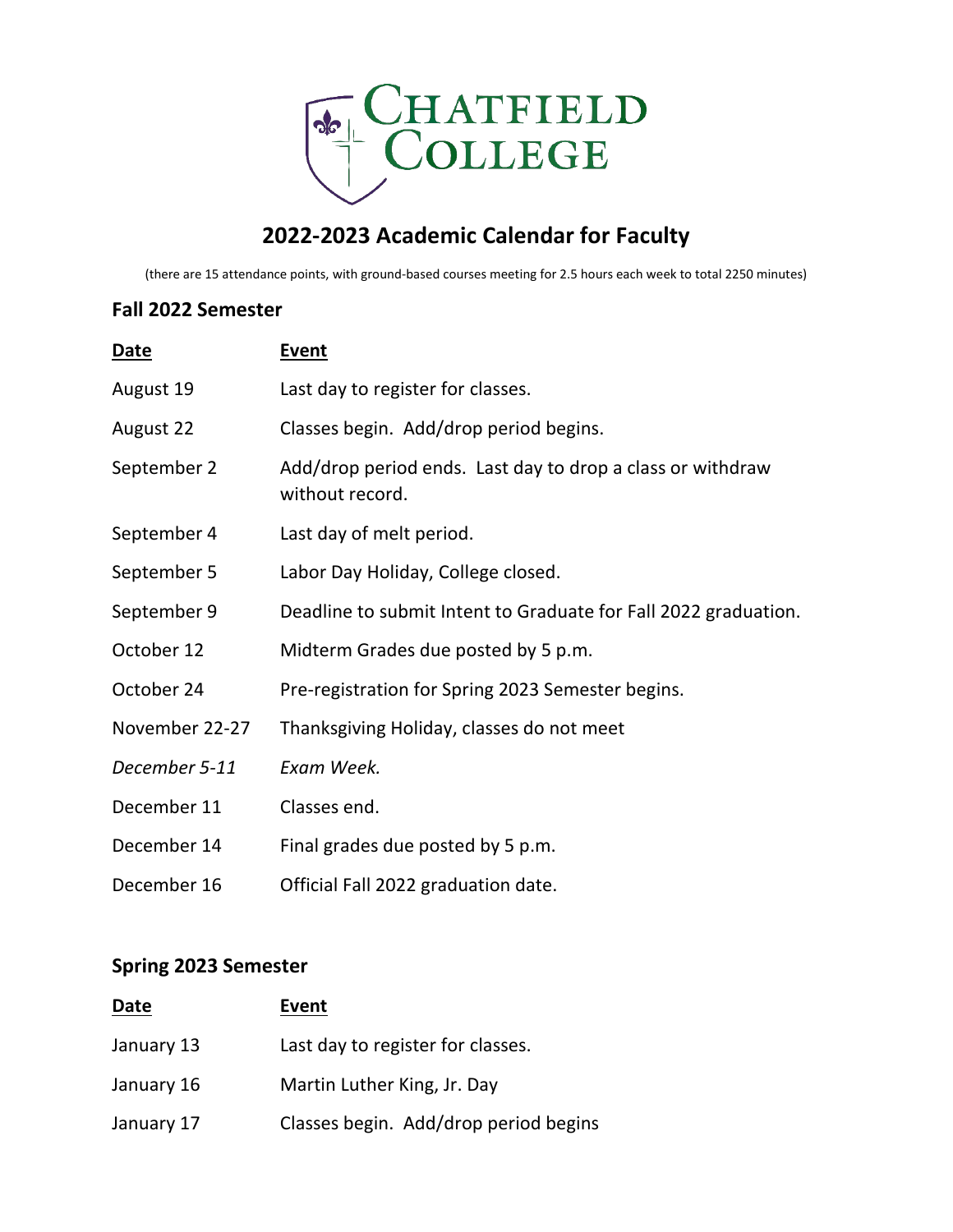

## **2022-2023 Academic Calendar for Faculty**

(there are 15 attendance points, with ground-based courses meeting for 2.5 hours each week to total 2250 minutes)

## **Fall 2022 Semester**

| Date           | <b>Event</b>                                                                  |
|----------------|-------------------------------------------------------------------------------|
| August 19      | Last day to register for classes.                                             |
| August 22      | Classes begin. Add/drop period begins.                                        |
| September 2    | Add/drop period ends. Last day to drop a class or withdraw<br>without record. |
| September 4    | Last day of melt period.                                                      |
| September 5    | Labor Day Holiday, College closed.                                            |
| September 9    | Deadline to submit Intent to Graduate for Fall 2022 graduation.               |
| October 12     | Midterm Grades due posted by 5 p.m.                                           |
| October 24     | Pre-registration for Spring 2023 Semester begins.                             |
| November 22-27 | Thanksgiving Holiday, classes do not meet                                     |
| December 5-11  | Exam Week.                                                                    |
| December 11    | Classes end.                                                                  |
| December 14    | Final grades due posted by 5 p.m.                                             |
| December 16    | Official Fall 2022 graduation date.                                           |

## **Spring 2023 Semester**

| Date       | Event                                 |
|------------|---------------------------------------|
| January 13 | Last day to register for classes.     |
| January 16 | Martin Luther King, Jr. Day           |
| January 17 | Classes begin. Add/drop period begins |